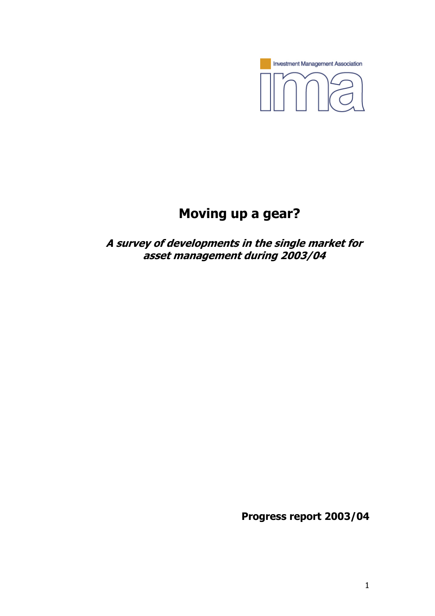

# **Moving up a gear?**

**A survey of developments in the single market for asset management during 2003/04** 

**Progress report 2003/04**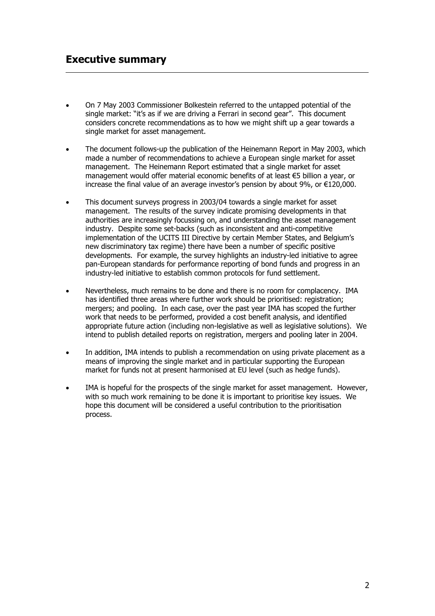- On 7 May 2003 Commissioner Bolkestein referred to the untapped potential of the single market: "it's as if we are driving a Ferrari in second gear". This document considers concrete recommendations as to how we might shift up a gear towards a single market for asset management.
- The document follows-up the publication of the Heinemann Report in May 2003, which made a number of recommendations to achieve a European single market for asset management. The Heinemann Report estimated that a single market for asset management would offer material economic benefits of at least €5 billion a year, or increase the final value of an average investor's pension by about 9%, or €120,000.
- This document surveys progress in 2003/04 towards a single market for asset management. The results of the survey indicate promising developments in that authorities are increasingly focussing on, and understanding the asset management industry. Despite some set-backs (such as inconsistent and anti-competitive implementation of the UCITS III Directive by certain Member States, and Belgium's new discriminatory tax regime) there have been a number of specific positive developments. For example, the survey highlights an industry-led initiative to agree pan-European standards for performance reporting of bond funds and progress in an industry-led initiative to establish common protocols for fund settlement.
- Nevertheless, much remains to be done and there is no room for complacency. IMA has identified three areas where further work should be prioritised: registration; mergers; and pooling. In each case, over the past year IMA has scoped the further work that needs to be performed, provided a cost benefit analysis, and identified appropriate future action (including non-legislative as well as legislative solutions). We intend to publish detailed reports on registration, mergers and pooling later in 2004.
- In addition, IMA intends to publish a recommendation on using private placement as a means of improving the single market and in particular supporting the European market for funds not at present harmonised at EU level (such as hedge funds).
- IMA is hopeful for the prospects of the single market for asset management. However, with so much work remaining to be done it is important to prioritise key issues. We hope this document will be considered a useful contribution to the prioritisation process.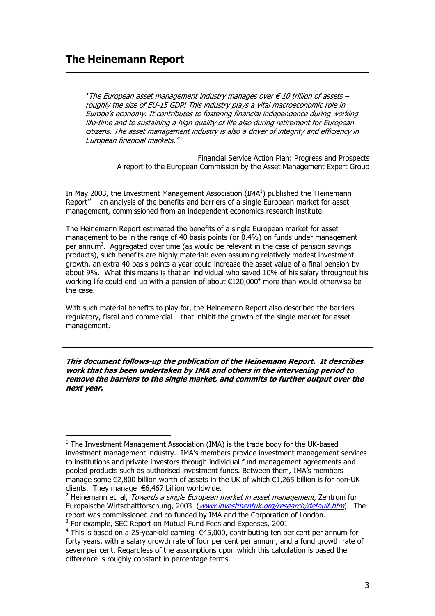#### **The Heinemann Report**

j

"The European asset management industry manages over  $\in$  10 trillion of assets – roughly the size of EU-15 GDP! This industry plays a vital macroeconomic role in Europe's economy. It contributes to fostering financial independence during working life-time and to sustaining a high quality of life also during retirement for European citizens. The asset management industry is also a driver of integrity and efficiency in European financial markets."

> Financial Service Action Plan: Progress and Prospects A report to the European Commission by the Asset Management Expert Group

In May 2003, the Investment Management Association (IMA $<sup>1</sup>$ ) published the 'Heinemann</sup> Report<sup> $2$ </sup> – an analysis of the benefits and barriers of a single European market for asset management, commissioned from an independent economics research institute.

The Heinemann Report estimated the benefits of a single European market for asset management to be in the range of 40 basis points (or 0.4%) on funds under management per annum<sup>3</sup>. Aggregated over time (as would be relevant in the case of pension savings products), such benefits are highly material: even assuming relatively modest investment growth, an extra 40 basis points a year could increase the asset value of a final pension by about 9%. What this means is that an individual who saved 10% of his salary throughout his working life could end up with a pension of about  $\epsilon$ 120,000<sup>4</sup> more than would otherwise be the case.

With such material benefits to play for, the Heinemann Report also described the barriers regulatory, fiscal and commercial – that inhibit the growth of the single market for asset management.

**This document follows-up the publication of the Heinemann Report. It describes work that has been undertaken by IMA and others in the intervening period to remove the barriers to the single market, and commits to further output over the next year.** 

 $1$  The Investment Management Association (IMA) is the trade body for the UK-based investment management industry. IMA's members provide investment management services to institutions and private investors through individual fund management agreements and pooled products such as authorised investment funds. Between them, IMA's members manage some €2,800 billion worth of assets in the UK of which €1,265 billion is for non-UK clients. They manage €6,467 billion worldwide.

<sup>&</sup>lt;sup>2</sup> Heinemann et. al, *Towards a single European market in asset management,* Zentrum fur Europaische Wirtschaftforschung, 2003 (www.investmentuk.org/research/default.htm). The report was commissioned and co-funded by IMA and the Corporation of London. <sup>3</sup> For example, SEC Report on Mutual Fund Fees and Expenses, 2001

<sup>&</sup>lt;sup>4</sup> This is based on a 25-year-old earning €45,000, contributing ten per cent per annum for forty years, with a salary growth rate of four per cent per annum, and a fund growth rate of seven per cent. Regardless of the assumptions upon which this calculation is based the difference is roughly constant in percentage terms.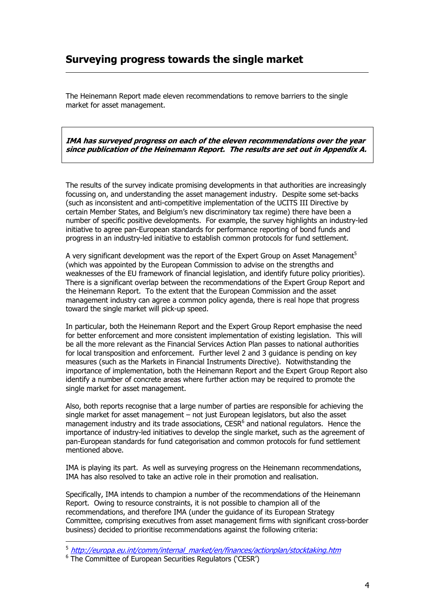## **Surveying progress towards the single market**

The Heinemann Report made eleven recommendations to remove barriers to the single market for asset management.

**IMA has surveyed progress on each of the eleven recommendations over the year since publication of the Heinemann Report. The results are set out in Appendix A.** 

The results of the survey indicate promising developments in that authorities are increasingly focussing on, and understanding the asset management industry. Despite some set-backs (such as inconsistent and anti-competitive implementation of the UCITS III Directive by certain Member States, and Belgium's new discriminatory tax regime) there have been a number of specific positive developments. For example, the survey highlights an industry-led initiative to agree pan-European standards for performance reporting of bond funds and progress in an industry-led initiative to establish common protocols for fund settlement.

A very significant development was the report of the Expert Group on Asset Management<sup>5</sup> (which was appointed by the European Commission to advise on the strengths and weaknesses of the EU framework of financial legislation, and identify future policy priorities). There is a significant overlap between the recommendations of the Expert Group Report and the Heinemann Report. To the extent that the European Commission and the asset management industry can agree a common policy agenda, there is real hope that progress toward the single market will pick-up speed.

In particular, both the Heinemann Report and the Expert Group Report emphasise the need for better enforcement and more consistent implementation of existing legislation. This will be all the more relevant as the Financial Services Action Plan passes to national authorities for local transposition and enforcement. Further level 2 and 3 guidance is pending on key measures (such as the Markets in Financial Instruments Directive). Notwithstanding the importance of implementation, both the Heinemann Report and the Expert Group Report also identify a number of concrete areas where further action may be required to promote the single market for asset management.

Also, both reports recognise that a large number of parties are responsible for achieving the single market for asset management – not just European legislators, but also the asset management industry and its trade associations,  $CESR<sup>6</sup>$  and national regulators. Hence the importance of industry-led initiatives to develop the single market, such as the agreement of pan-European standards for fund categorisation and common protocols for fund settlement mentioned above.

IMA is playing its part. As well as surveying progress on the Heinemann recommendations, IMA has also resolved to take an active role in their promotion and realisation.

Specifically, IMA intends to champion a number of the recommendations of the Heinemann Report. Owing to resource constraints, it is not possible to champion all of the recommendations, and therefore IMA (under the guidance of its European Strategy Committee, comprising executives from asset management firms with significant cross-border business) decided to prioritise recommendations against the following criteria:

 $\overline{a}$ 

<sup>5</sup> http://europa.eu.int/comm/internal\_market/en/finances/actionplan/stocktaking.htm

<sup>&</sup>lt;sup>6</sup> The Committee of European Securities Regulators ('CESR')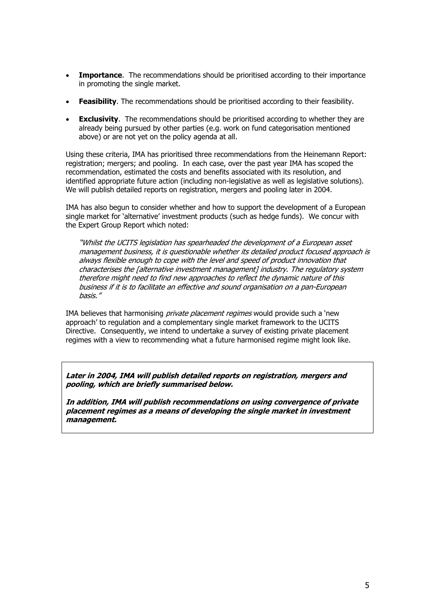- **Importance**. The recommendations should be prioritised according to their importance in promoting the single market.
- **Feasibility**. The recommendations should be prioritised according to their feasibility.
- **Exclusivity**. The recommendations should be prioritised according to whether they are already being pursued by other parties (e.g. work on fund categorisation mentioned above) or are not yet on the policy agenda at all.

Using these criteria, IMA has prioritised three recommendations from the Heinemann Report: registration; mergers; and pooling. In each case, over the past year IMA has scoped the recommendation, estimated the costs and benefits associated with its resolution, and identified appropriate future action (including non-legislative as well as legislative solutions). We will publish detailed reports on registration, mergers and pooling later in 2004.

IMA has also begun to consider whether and how to support the development of a European single market for 'alternative' investment products (such as hedge funds). We concur with the Expert Group Report which noted:

"Whilst the UCITS legislation has spearheaded the development of a European asset management business, it is questionable whether its detailed product focused approach is always flexible enough to cope with the level and speed of product innovation that characterises the [alternative investment management] industry. The regulatory system therefore might need to find new approaches to reflect the dynamic nature of this business if it is to facilitate an effective and sound organisation on a pan-European basis."

IMA believes that harmonising *private placement regimes* would provide such a 'new approach' to regulation and a complementary single market framework to the UCITS Directive. Consequently, we intend to undertake a survey of existing private placement regimes with a view to recommending what a future harmonised regime might look like.

**Later in 2004, IMA will publish detailed reports on registration, mergers and pooling, which are briefly summarised below.** 

**In addition, IMA will publish recommendations on using convergence of private placement regimes as a means of developing the single market in investment management.**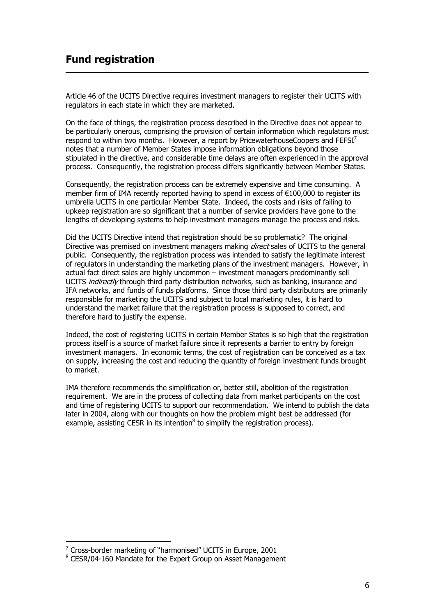## **Fund registration**

Article 46 of the UCITS Directive requires investment managers to register their UCITS with regulators in each state in which they are marketed.

On the face of things, the registration process described in the Directive does not appear to be particularly onerous, comprising the provision of certain information which regulators must respond to within two months. However, a report by PricewaterhouseCoopers and  $FEFSI<sup>7</sup>$ notes that a number of Member States impose information obligations beyond those stipulated in the directive, and considerable time delays are often experienced in the approval process. Consequently, the registration process differs significantly between Member States.

Consequently, the registration process can be extremely expensive and time consuming. A member firm of IMA recently reported having to spend in excess of €100,000 to register its umbrella UCITS in one particular Member State. Indeed, the costs and risks of failing to upkeep registration are so significant that a number of service providers have gone to the lengths of developing systems to help investment managers manage the process and risks.

Did the UCITS Directive intend that registration should be so problematic? The original Directive was premised on investment managers making *direct* sales of UCITS to the general public. Consequently, the registration process was intended to satisfy the legitimate interest of regulators in understanding the marketing plans of the investment managers. However, in actual fact direct sales are highly uncommon – investment managers predominantly sell UCITS *indirectly* through third party distribution networks, such as banking, insurance and IFA networks, and funds of funds platforms. Since those third party distributors are primarily responsible for marketing the UCITS and subject to local marketing rules, it is hard to understand the market failure that the registration process is supposed to correct, and therefore hard to justify the expense.

Indeed, the cost of registering UCITS in certain Member States is so high that the registration process itself is a source of market failure since it represents a barrier to entry by foreign investment managers. In economic terms, the cost of registration can be conceived as a tax on supply, increasing the cost and reducing the quantity of foreign investment funds brought to market.

IMA therefore recommends the simplification or, better still, abolition of the registration requirement. We are in the process of collecting data from market participants on the cost and time of registering UCITS to support our recommendation. We intend to publish the data later in 2004, along with our thoughts on how the problem might best be addressed (for example, assisting CESR in its intention $^8$  to simplify the registration process).

 $\overline{a}$ 

<sup>&</sup>lt;sup>7</sup> Cross-border marketing of "harmonised" UCITS in Europe, 2001

<sup>&</sup>lt;sup>8</sup> CESR/04-160 Mandate for the Expert Group on Asset Management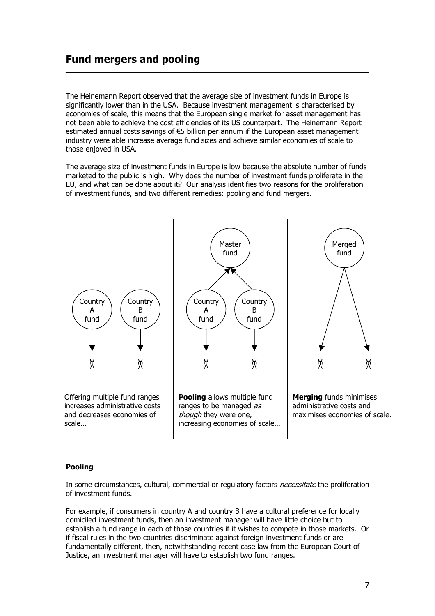### **Fund mergers and pooling**

The Heinemann Report observed that the average size of investment funds in Europe is significantly lower than in the USA. Because investment management is characterised by economies of scale, this means that the European single market for asset management has not been able to achieve the cost efficiencies of its US counterpart. The Heinemann Report estimated annual costs savings of  $\epsilon$ 5 billion per annum if the European asset management industry were able increase average fund sizes and achieve similar economies of scale to those enjoyed in USA.

The average size of investment funds in Europe is low because the absolute number of funds marketed to the public is high. Why does the number of investment funds proliferate in the EU, and what can be done about it? Our analysis identifies two reasons for the proliferation of investment funds, and two different remedies: pooling and fund mergers.



#### **Pooling**

In some circumstances, cultural, commercial or regulatory factors *necessitate* the proliferation of investment funds.

For example, if consumers in country A and country B have a cultural preference for locally domiciled investment funds, then an investment manager will have little choice but to establish a fund range in each of those countries if it wishes to compete in those markets. Or if fiscal rules in the two countries discriminate against foreign investment funds or are fundamentally different, then, notwithstanding recent case law from the European Court of Justice, an investment manager will have to establish two fund ranges.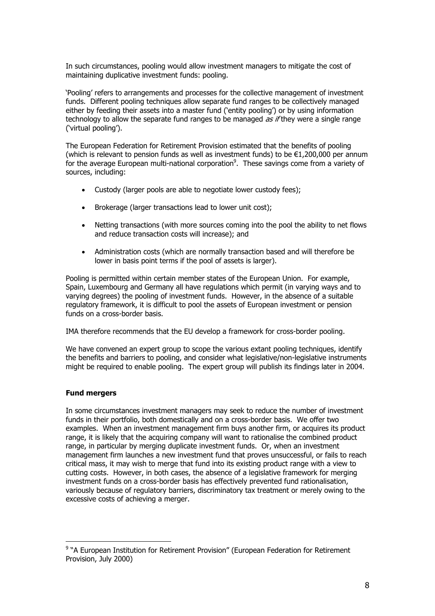In such circumstances, pooling would allow investment managers to mitigate the cost of maintaining duplicative investment funds: pooling.

'Pooling' refers to arrangements and processes for the collective management of investment funds. Different pooling techniques allow separate fund ranges to be collectively managed either by feeding their assets into a master fund ('entity pooling') or by using information technology to allow the separate fund ranges to be managed *as if* they were a single range ('virtual pooling').

The European Federation for Retirement Provision estimated that the benefits of pooling (which is relevant to pension funds as well as investment funds) to be  $E1,200,000$  per annum for the average European multi-national corporation<sup>9</sup>. These savings come from a variety of sources, including:

- Custody (larger pools are able to negotiate lower custody fees);
- Brokerage (larger transactions lead to lower unit cost);
- Netting transactions (with more sources coming into the pool the ability to net flows and reduce transaction costs will increase); and
- Administration costs (which are normally transaction based and will therefore be lower in basis point terms if the pool of assets is larger).

Pooling is permitted within certain member states of the European Union. For example, Spain, Luxembourg and Germany all have regulations which permit (in varying ways and to varying degrees) the pooling of investment funds. However, in the absence of a suitable regulatory framework, it is difficult to pool the assets of European investment or pension funds on a cross-border basis

IMA therefore recommends that the EU develop a framework for cross-border pooling.

We have convened an expert group to scope the various extant pooling techniques, identify the benefits and barriers to pooling, and consider what legislative/non-legislative instruments might be required to enable pooling. The expert group will publish its findings later in 2004.

#### **Fund mergers**

 $\overline{a}$ 

In some circumstances investment managers may seek to reduce the number of investment funds in their portfolio, both domestically and on a cross-border basis. We offer two examples. When an investment management firm buys another firm, or acquires its product range, it is likely that the acquiring company will want to rationalise the combined product range, in particular by merging duplicate investment funds. Or, when an investment management firm launches a new investment fund that proves unsuccessful, or fails to reach critical mass, it may wish to merge that fund into its existing product range with a view to cutting costs. However, in both cases, the absence of a legislative framework for merging investment funds on a cross-border basis has effectively prevented fund rationalisation, variously because of regulatory barriers, discriminatory tax treatment or merely owing to the excessive costs of achieving a merger.

<sup>&</sup>lt;sup>9</sup> "A European Institution for Retirement Provision" (European Federation for Retirement Provision, July 2000)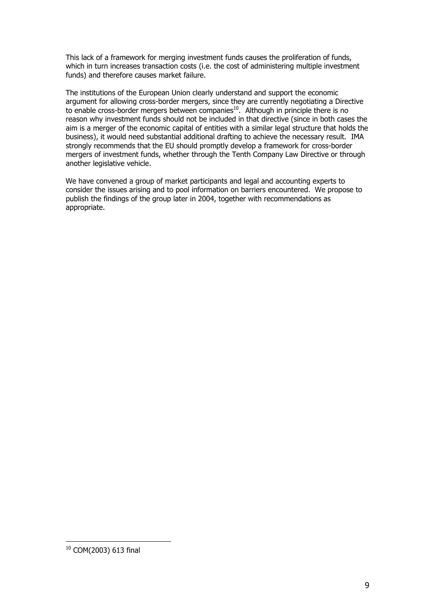This lack of a framework for merging investment funds causes the proliferation of funds, which in turn increases transaction costs (i.e. the cost of administering multiple investment funds) and therefore causes market failure.

The institutions of the European Union clearly understand and support the economic argument for allowing cross-border mergers, since they are currently negotiating a Directive to enable cross-border mergers between companies<sup>10</sup>. Although in principle there is no reason why investment funds should not be included in that directive (since in both cases the aim is a merger of the economic capital of entities with a similar legal structure that holds the business), it would need substantial additional drafting to achieve the necessary result. IMA strongly recommends that the EU should promptly develop a framework for cross-border mergers of investment funds, whether through the Tenth Company Law Directive or through another legislative vehicle.

We have convened a group of market participants and legal and accounting experts to consider the issues arising and to pool information on barriers encountered. We propose to publish the findings of the group later in 2004, together with recommendations as appropriate.

 $\overline{a}$ 

 $10$  COM(2003) 613 final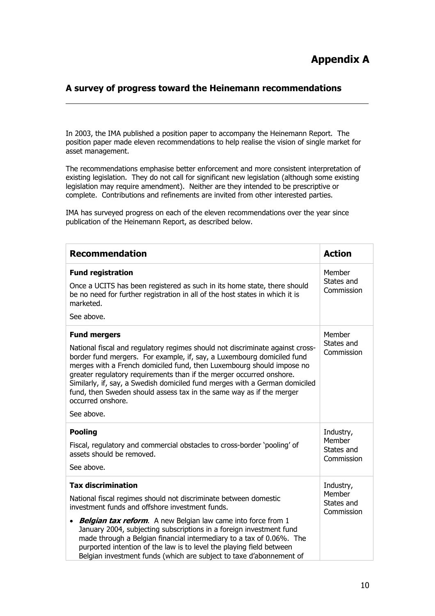#### **A survey of progress toward the Heinemann recommendations**

In 2003, the IMA published a position paper to accompany the Heinemann Report. The position paper made eleven recommendations to help realise the vision of single market for asset management.

The recommendations emphasise better enforcement and more consistent interpretation of existing legislation. They do not call for significant new legislation (although some existing legislation may require amendment). Neither are they intended to be prescriptive or complete. Contributions and refinements are invited from other interested parties.

IMA has surveyed progress on each of the eleven recommendations over the year since publication of the Heinemann Report, as described below.

| <b>Recommendation</b>                                                                                                                                                                                                                                                                                                                                                                                                                                                                                                              | <b>Action</b>                                   |
|------------------------------------------------------------------------------------------------------------------------------------------------------------------------------------------------------------------------------------------------------------------------------------------------------------------------------------------------------------------------------------------------------------------------------------------------------------------------------------------------------------------------------------|-------------------------------------------------|
| <b>Fund registration</b><br>Once a UCITS has been registered as such in its home state, there should<br>be no need for further registration in all of the host states in which it is<br>marketed.<br>See above.                                                                                                                                                                                                                                                                                                                    | Member<br>States and<br>Commission              |
| <b>Fund mergers</b><br>National fiscal and regulatory regimes should not discriminate against cross-<br>border fund mergers. For example, if, say, a Luxembourg domiciled fund<br>merges with a French domiciled fund, then Luxembourg should impose no<br>greater regulatory requirements than if the merger occurred onshore.<br>Similarly, if, say, a Swedish domiciled fund merges with a German domiciled<br>fund, then Sweden should assess tax in the same way as if the merger<br>occurred onshore.<br>See above.          | Member<br>States and<br>Commission              |
| <b>Pooling</b><br>Fiscal, regulatory and commercial obstacles to cross-border 'pooling' of<br>assets should be removed.<br>See above.                                                                                                                                                                                                                                                                                                                                                                                              | Industry,<br>Member<br>States and<br>Commission |
| <b>Tax discrimination</b><br>National fiscal regimes should not discriminate between domestic<br>investment funds and offshore investment funds.<br><b>Belgian tax reform.</b> A new Belgian law came into force from 1<br>$\bullet$<br>January 2004, subjecting subscriptions in a foreign investment fund<br>made through a Belgian financial intermediary to a tax of 0.06%. The<br>purported intention of the law is to level the playing field between<br>Belgian investment funds (which are subject to taxe d'abonnement of | Industry,<br>Member<br>States and<br>Commission |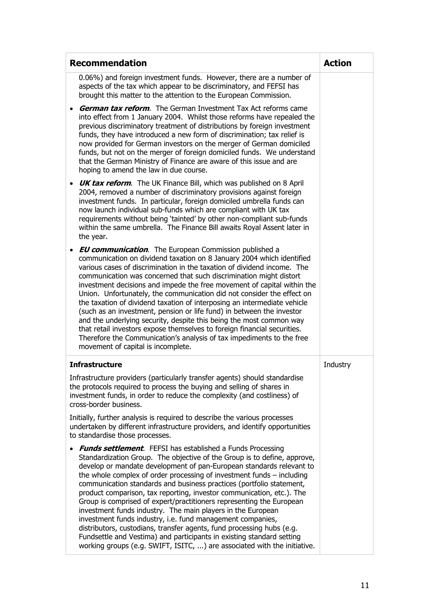| <b>Recommendation</b>                                                                                                                                                                                                                                                                                                                                                                                                                                                                                                                                                                                                                                                                                                                                                                                                                                                                | <b>Action</b> |
|--------------------------------------------------------------------------------------------------------------------------------------------------------------------------------------------------------------------------------------------------------------------------------------------------------------------------------------------------------------------------------------------------------------------------------------------------------------------------------------------------------------------------------------------------------------------------------------------------------------------------------------------------------------------------------------------------------------------------------------------------------------------------------------------------------------------------------------------------------------------------------------|---------------|
| 0.06%) and foreign investment funds. However, there are a number of<br>aspects of the tax which appear to be discriminatory, and FEFSI has<br>brought this matter to the attention to the European Commission.                                                                                                                                                                                                                                                                                                                                                                                                                                                                                                                                                                                                                                                                       |               |
| <b>German tax reform.</b> The German Investment Tax Act reforms came<br>into effect from 1 January 2004. Whilst those reforms have repealed the<br>previous discriminatory treatment of distributions by foreign investment<br>funds, they have introduced a new form of discrimination; tax relief is<br>now provided for German investors on the merger of German domiciled<br>funds, but not on the merger of foreign domiciled funds. We understand<br>that the German Ministry of Finance are aware of this issue and are<br>hoping to amend the law in due course.                                                                                                                                                                                                                                                                                                             |               |
| <b>UK tax reform.</b> The UK Finance Bill, which was published on 8 April<br>2004, removed a number of discriminatory provisions against foreign<br>investment funds. In particular, foreign domiciled umbrella funds can<br>now launch individual sub-funds which are compliant with UK tax<br>requirements without being 'tainted' by other non-compliant sub-funds<br>within the same umbrella. The Finance Bill awaits Royal Assent later in<br>the year.                                                                                                                                                                                                                                                                                                                                                                                                                        |               |
| <b>EU communication.</b> The European Commission published a<br>communication on dividend taxation on 8 January 2004 which identified<br>various cases of discrimination in the taxation of dividend income. The<br>communication was concerned that such discrimination might distort<br>investment decisions and impede the free movement of capital within the<br>Union. Unfortunately, the communication did not consider the effect on<br>the taxation of dividend taxation of interposing an intermediate vehicle<br>(such as an investment, pension or life fund) in between the investor<br>and the underlying security, despite this being the most common way<br>that retail investors expose themselves to foreign financial securities.<br>Therefore the Communication's analysis of tax impediments to the free<br>movement of capital is incomplete.                   |               |
| <b>Infrastructure</b>                                                                                                                                                                                                                                                                                                                                                                                                                                                                                                                                                                                                                                                                                                                                                                                                                                                                | Industry      |
| Infrastructure providers (particularly transfer agents) should standardise<br>the protocols required to process the buying and selling of shares in<br>investment funds, in order to reduce the complexity (and costliness) of<br>cross-border business.                                                                                                                                                                                                                                                                                                                                                                                                                                                                                                                                                                                                                             |               |
| Initially, further analysis is required to describe the various processes<br>undertaken by different infrastructure providers, and identify opportunities<br>to standardise those processes.                                                                                                                                                                                                                                                                                                                                                                                                                                                                                                                                                                                                                                                                                         |               |
| <b>Funds settlement.</b> FEFSI has established a Funds Processing<br>Standardization Group. The objective of the Group is to define, approve,<br>develop or mandate development of pan-European standards relevant to<br>the whole complex of order processing of investment funds $-$ including<br>communication standards and business practices (portfolio statement,<br>product comparison, tax reporting, investor communication, etc.). The<br>Group is comprised of expert/practitioners representing the European<br>investment funds industry. The main players in the European<br>investment funds industry, i.e. fund management companies,<br>distributors, custodians, transfer agents, fund processing hubs (e.g.<br>Fundsettle and Vestima) and participants in existing standard setting<br>working groups (e.g. SWIFT, ISITC, ) are associated with the initiative. |               |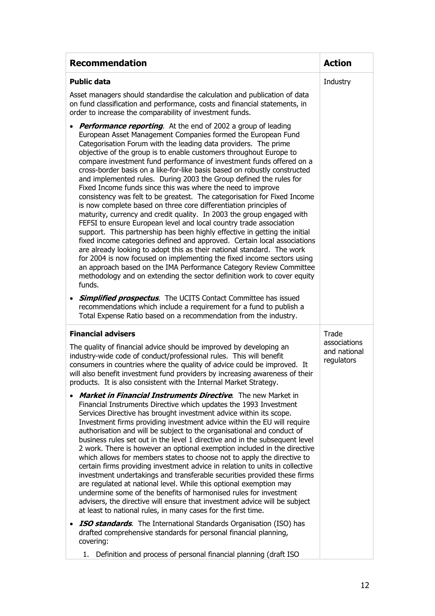| <b>Recommendation</b>                                                                                                                                                                                                                                                                                                                                                                                                                                                                                                                                                                                                                                                                                                                                                                                                                                                                                                                                                                                                                                                                                                                                                                                                                                                                                                                                                                                                                | <b>Action</b>              |
|--------------------------------------------------------------------------------------------------------------------------------------------------------------------------------------------------------------------------------------------------------------------------------------------------------------------------------------------------------------------------------------------------------------------------------------------------------------------------------------------------------------------------------------------------------------------------------------------------------------------------------------------------------------------------------------------------------------------------------------------------------------------------------------------------------------------------------------------------------------------------------------------------------------------------------------------------------------------------------------------------------------------------------------------------------------------------------------------------------------------------------------------------------------------------------------------------------------------------------------------------------------------------------------------------------------------------------------------------------------------------------------------------------------------------------------|----------------------------|
| <b>Public data</b>                                                                                                                                                                                                                                                                                                                                                                                                                                                                                                                                                                                                                                                                                                                                                                                                                                                                                                                                                                                                                                                                                                                                                                                                                                                                                                                                                                                                                   | Industry                   |
| Asset managers should standardise the calculation and publication of data<br>on fund classification and performance, costs and financial statements, in<br>order to increase the comparability of investment funds.                                                                                                                                                                                                                                                                                                                                                                                                                                                                                                                                                                                                                                                                                                                                                                                                                                                                                                                                                                                                                                                                                                                                                                                                                  |                            |
| <b>Performance reporting.</b> At the end of 2002 a group of leading<br>European Asset Management Companies formed the European Fund<br>Categorisation Forum with the leading data providers. The prime<br>objective of the group is to enable customers throughout Europe to<br>compare investment fund performance of investment funds offered on a<br>cross-border basis on a like-for-like basis based on robustly constructed<br>and implemented rules. During 2003 the Group defined the rules for<br>Fixed Income funds since this was where the need to improve<br>consistency was felt to be greatest. The categorisation for Fixed Income<br>is now complete based on three core differentiation principles of<br>maturity, currency and credit quality. In 2003 the group engaged with<br>FEFSI to ensure European level and local country trade association<br>support. This partnership has been highly effective in getting the initial<br>fixed income categories defined and approved. Certain local associations<br>are already looking to adopt this as their national standard. The work<br>for 2004 is now focused on implementing the fixed income sectors using<br>an approach based on the IMA Performance Category Review Committee<br>methodology and on extending the sector definition work to cover equity<br>funds.<br><b>Simplified prospectus.</b> The UCITS Contact Committee has issued<br>$\bullet$ |                            |
| recommendations which include a requirement for a fund to publish a<br>Total Expense Ratio based on a recommendation from the industry.                                                                                                                                                                                                                                                                                                                                                                                                                                                                                                                                                                                                                                                                                                                                                                                                                                                                                                                                                                                                                                                                                                                                                                                                                                                                                              |                            |
| <b>Financial advisers</b>                                                                                                                                                                                                                                                                                                                                                                                                                                                                                                                                                                                                                                                                                                                                                                                                                                                                                                                                                                                                                                                                                                                                                                                                                                                                                                                                                                                                            | Trade<br>associations      |
| The quality of financial advice should be improved by developing an<br>industry-wide code of conduct/professional rules. This will benefit<br>consumers in countries where the quality of advice could be improved. It<br>will also benefit investment fund providers by increasing awareness of their<br>products. It is also consistent with the Internal Market Strategy.                                                                                                                                                                                                                                                                                                                                                                                                                                                                                                                                                                                                                                                                                                                                                                                                                                                                                                                                                                                                                                                         | and national<br>regulators |
| <b>Market in Financial Instruments Directive.</b> The new Market in<br>$\bullet$<br>Financial Instruments Directive which updates the 1993 Investment<br>Services Directive has brought investment advice within its scope.<br>Investment firms providing investment advice within the EU will require<br>authorisation and will be subject to the organisational and conduct of<br>business rules set out in the level 1 directive and in the subsequent level<br>2 work. There is however an optional exemption included in the directive<br>which allows for members states to choose not to apply the directive to<br>certain firms providing investment advice in relation to units in collective<br>investment undertakings and transferable securities provided these firms<br>are regulated at national level. While this optional exemption may<br>undermine some of the benefits of harmonised rules for investment<br>advisers, the directive will ensure that investment advice will be subject<br>at least to national rules, in many cases for the first time.                                                                                                                                                                                                                                                                                                                                                         |                            |
| <b>ISO standards.</b> The International Standards Organisation (ISO) has<br>$\bullet$<br>drafted comprehensive standards for personal financial planning,<br>covering:                                                                                                                                                                                                                                                                                                                                                                                                                                                                                                                                                                                                                                                                                                                                                                                                                                                                                                                                                                                                                                                                                                                                                                                                                                                               |                            |
| 1. Definition and process of personal financial planning (draft ISO                                                                                                                                                                                                                                                                                                                                                                                                                                                                                                                                                                                                                                                                                                                                                                                                                                                                                                                                                                                                                                                                                                                                                                                                                                                                                                                                                                  |                            |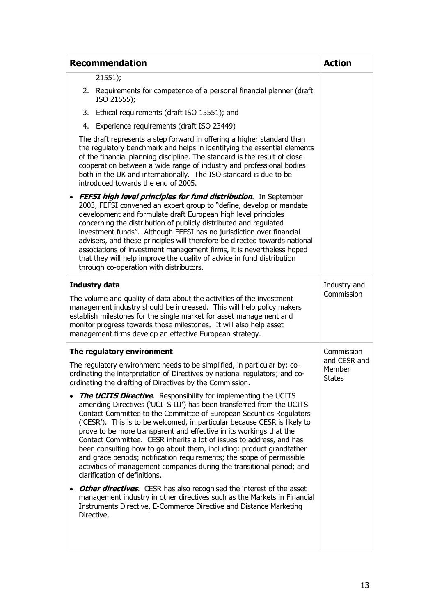| <b>Recommendation</b>                                                                                                                                                                                                                                                                                                                                                                                                                                                                                                                                                                                                                                                                                           | <b>Action</b>                           |
|-----------------------------------------------------------------------------------------------------------------------------------------------------------------------------------------------------------------------------------------------------------------------------------------------------------------------------------------------------------------------------------------------------------------------------------------------------------------------------------------------------------------------------------------------------------------------------------------------------------------------------------------------------------------------------------------------------------------|-----------------------------------------|
| 21551);                                                                                                                                                                                                                                                                                                                                                                                                                                                                                                                                                                                                                                                                                                         |                                         |
| 2. Requirements for competence of a personal financial planner (draft)<br>ISO 21555);                                                                                                                                                                                                                                                                                                                                                                                                                                                                                                                                                                                                                           |                                         |
| Ethical requirements (draft ISO 15551); and<br>3.                                                                                                                                                                                                                                                                                                                                                                                                                                                                                                                                                                                                                                                               |                                         |
| Experience requirements (draft ISO 23449)<br>4.                                                                                                                                                                                                                                                                                                                                                                                                                                                                                                                                                                                                                                                                 |                                         |
| The draft represents a step forward in offering a higher standard than<br>the regulatory benchmark and helps in identifying the essential elements<br>of the financial planning discipline. The standard is the result of close<br>cooperation between a wide range of industry and professional bodies<br>both in the UK and internationally. The ISO standard is due to be<br>introduced towards the end of 2005.                                                                                                                                                                                                                                                                                             |                                         |
| <b>FEFSI high level principles for fund distribution.</b> In September<br>$\bullet$<br>2003, FEFSI convened an expert group to "define, develop or mandate<br>development and formulate draft European high level principles<br>concerning the distribution of publicly distributed and regulated<br>investment funds". Although FEFSI has no jurisdiction over financial<br>advisers, and these principles will therefore be directed towards national<br>associations of investment management firms, it is nevertheless hoped<br>that they will help improve the quality of advice in fund distribution<br>through co-operation with distributors.                                                           |                                         |
| <b>Industry data</b>                                                                                                                                                                                                                                                                                                                                                                                                                                                                                                                                                                                                                                                                                            | Industry and                            |
| The volume and quality of data about the activities of the investment<br>management industry should be increased. This will help policy makers<br>establish milestones for the single market for asset management and<br>monitor progress towards those milestones. It will also help asset<br>management firms develop an effective European strategy.                                                                                                                                                                                                                                                                                                                                                         | Commission                              |
| The regulatory environment                                                                                                                                                                                                                                                                                                                                                                                                                                                                                                                                                                                                                                                                                      | Commission                              |
| The regulatory environment needs to be simplified, in particular by: co-<br>ordinating the interpretation of Directives by national regulators; and co-<br>ordinating the drafting of Directives by the Commission.                                                                                                                                                                                                                                                                                                                                                                                                                                                                                             | and CESR and<br>Member<br><b>States</b> |
| <b>The UCITS Directive.</b> Responsibility for implementing the UCITS<br>amending Directives ('UCITS III') has been transferred from the UCITS<br>Contact Committee to the Committee of European Securities Regulators<br>('CESR'). This is to be welcomed, in particular because CESR is likely to<br>prove to be more transparent and effective in its workings that the<br>Contact Committee. CESR inherits a lot of issues to address, and has<br>been consulting how to go about them, including: product grandfather<br>and grace periods; notification requirements; the scope of permissible<br>activities of management companies during the transitional period; and<br>clarification of definitions. |                                         |
| <b>Other directives.</b> CESR has also recognised the interest of the asset<br>$\bullet$<br>management industry in other directives such as the Markets in Financial<br>Instruments Directive, E-Commerce Directive and Distance Marketing<br>Directive.                                                                                                                                                                                                                                                                                                                                                                                                                                                        |                                         |
|                                                                                                                                                                                                                                                                                                                                                                                                                                                                                                                                                                                                                                                                                                                 |                                         |